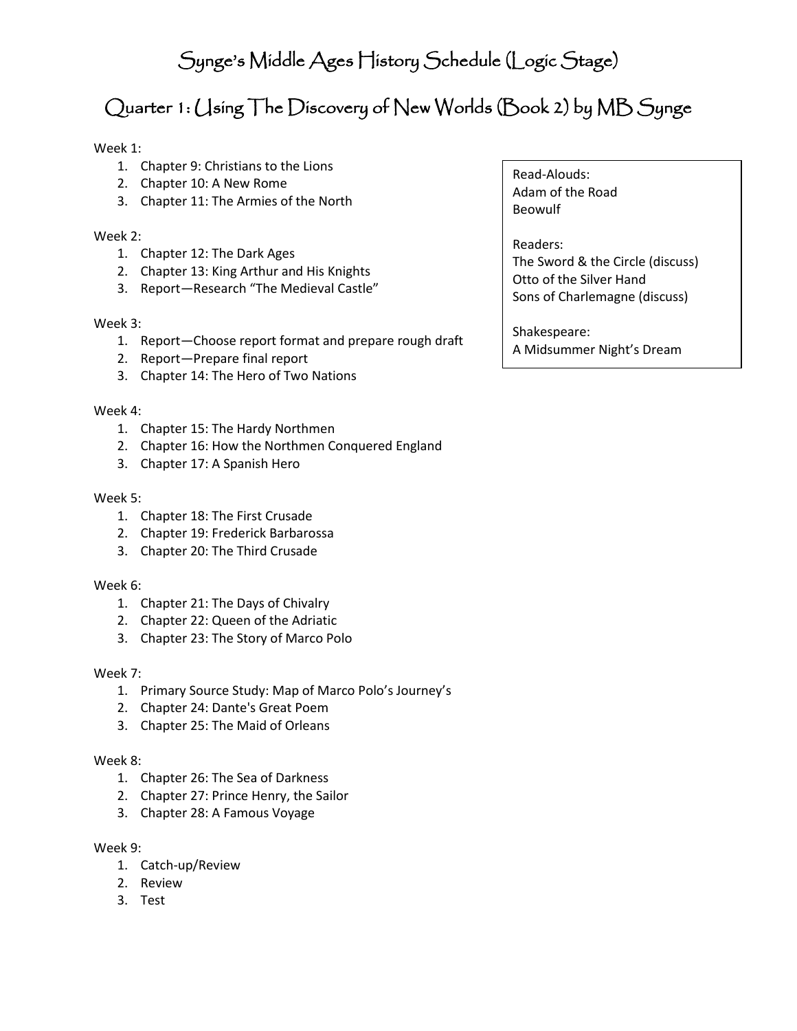# Quarter 1: Using The Discovery of New Worlds (Book 2) by MB Synge

## Week 1:

- 1. Chapter 9: [Christians to the Lions](http://www.mainlesson.com/display.php?author=synge&book=discovery&story=lions)
- 2. Chapter 10[: A New Rome](http://www.mainlesson.com/display.php?author=synge&book=discovery&story=newrome)
- 3. Chapter 11[: The Armies of the North](http://www.mainlesson.com/display.php?author=synge&book=discovery&story=armies)

## Week 2:

- 1. Chapter 12[: The Dark Ages](http://www.mainlesson.com/display.php?author=synge&book=discovery&story=dark)
- 2. Chapter 13[: King Arthur and His Knights](http://www.mainlesson.com/display.php?author=synge&book=discovery&story=arthur)
- 3. Report—Research "The Medieval Castle"

## Week 3:

- 1. Report—Choose report format and prepare rough draft
- 2. Report—Prepare final report
- 3. Chapter 14[: The Hero of Two Nations](http://www.mainlesson.com/display.php?author=synge&book=discovery&story=hero)

## Week 4:

- 1. Chapter 15[: The Hardy Northmen](http://www.mainlesson.com/display.php?author=synge&book=discovery&story=hardy)
- 2. Chapter 16[: How the Northmen Conquered England](http://www.mainlesson.com/display.php?author=synge&book=discovery&story=conquer)
- 3. Chapter 17[: A Spanish Hero](http://www.mainlesson.com/display.php?author=synge&book=discovery&story=spanish)

## Week 5:

- 1. Chapter 18[: The First Crusade](http://www.mainlesson.com/display.php?author=synge&book=discovery&story=first)
- 2. Chapter 19[: Frederick Barbarossa](http://www.mainlesson.com/display.php?author=synge&book=discovery&story=barbarossa)
- 3. Chapter 20[: The Third Crusade](http://www.mainlesson.com/display.php?author=synge&book=discovery&story=third)

## Week 6:

- 1. Chapter 21[: The Days of Chivalry](http://www.mainlesson.com/display.php?author=synge&book=discovery&story=chivalry)
- 2. Chapter 22[: Queen of the Adriatic](http://www.mainlesson.com/display.php?author=synge&book=discovery&story=queen)
- 3. Chapter 23[: The Story of Marco Polo](http://www.mainlesson.com/display.php?author=synge&book=discovery&story=marco)

## Week 7:

- 1. Primary Source Study: Map of Marco Polo's Journey's
- 2. Chapter 24[: Dante's Great Poem](http://www.mainlesson.com/display.php?author=synge&book=discovery&story=dante)
- 3. Chapter 25[: The Maid of Orleans](http://www.mainlesson.com/display.php?author=synge&book=discovery&story=joanarc)

## Week 8:

- 1. Chapter 26[: The Sea of Darkness](http://www.mainlesson.com/display.php?author=synge&book=discovery&story=darkness)
- 2. Chapter 27[: Prince Henry, the Sailor](http://www.mainlesson.com/display.php?author=synge&book=discovery&story=henry)
- 3. Chapter 28[: A Famous Voyage](http://www.mainlesson.com/display.php?author=synge&book=discovery&story=voyage)

## Week 9:

- 1. Catch-up/Review
- 2. Review
- 3. Test

Read-Alouds: Adam of the Road Beowulf

Readers: The Sword & the Circle (discuss) Otto of the Silver Hand Sons of Charlemagne (discuss)

Shakespeare: A Midsummer Night's Dream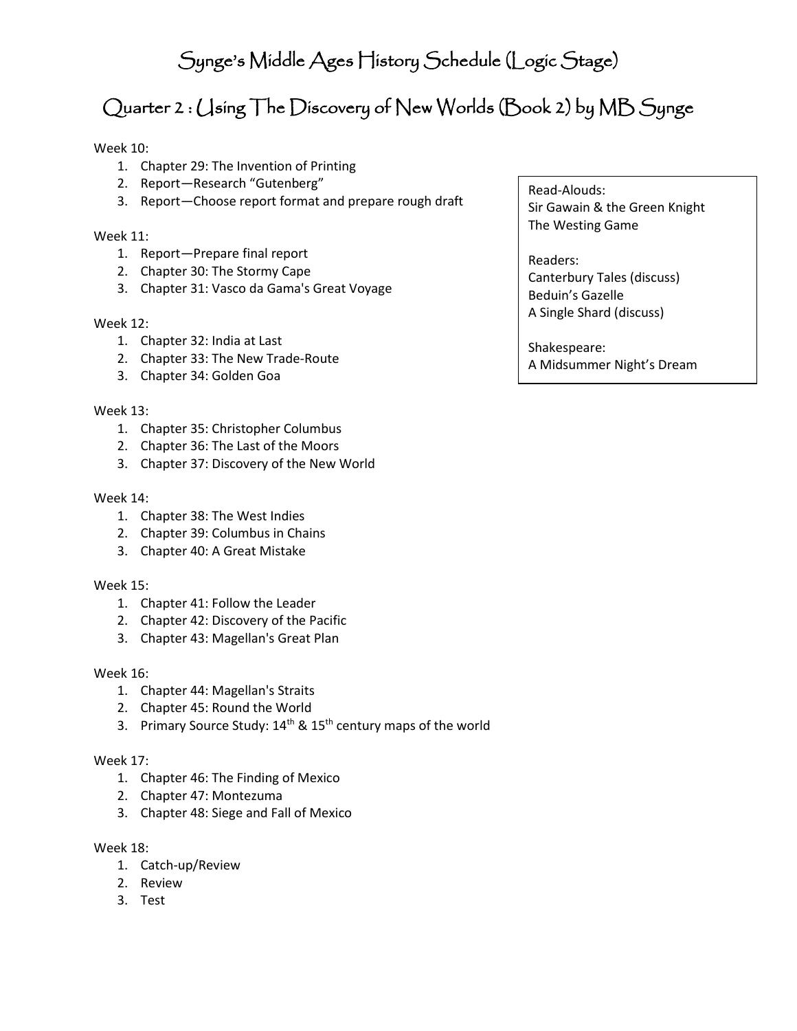## Quarter 2 : Using The Discovery of New Worlds (Book 2) by MB Synge

## Week 10:

- 1. Chapter 29[: The Invention of Printing](http://www.mainlesson.com/display.php?author=synge&book=discovery&story=printing)
- 2. Report—Research "Gutenberg"
- 3. Report—Choose report format and prepare rough draft

## Week 11:

- 1. Report—Prepare final report
- 2. Chapter 30[: The Stormy Cape](http://www.mainlesson.com/display.php?author=synge&book=discovery&story=stormy)
- 3. Chapter 31[: Vasco da Gama's Great Voyage](http://www.mainlesson.com/display.php?author=synge&book=discovery&story=vasco)

### Week 12:

- 1. Chapter 32[: India at Last](http://www.mainlesson.com/display.php?author=synge&book=discovery&story=india)
- 2. Chapter 33[: The New Trade-Route](http://www.mainlesson.com/display.php?author=synge&book=discovery&story=traderoute)
- 3. Chapter 34[: Golden Goa](http://www.mainlesson.com/display.php?author=synge&book=discovery&story=goa)

## Week 13:

- 1. Chapter 35[: Christopher Columbus](http://www.mainlesson.com/display.php?author=synge&book=discovery&story=columbus)
- 2. Chapter 36[: The Last of the Moors](http://www.mainlesson.com/display.php?author=synge&book=discovery&story=moors)
- 3. Chapter 37[: Discovery of the New World](http://www.mainlesson.com/display.php?author=synge&book=discovery&story=newworld)

### Week 14:

- 1. Chapter 38[: The West Indies](http://www.mainlesson.com/display.php?author=synge&book=discovery&story=indies)
- 2. Chapter 39[: Columbus in Chains](http://www.mainlesson.com/display.php?author=synge&book=discovery&story=chains)
- 3. Chapter 40[: A Great Mistake](http://www.mainlesson.com/display.php?author=synge&book=discovery&story=mistake)

### Week 15:

- 1. Chapter 41[: Follow the Leader](http://www.mainlesson.com/display.php?author=synge&book=discovery&story=follow)
- 2. Chapter 42[: Discovery of the Pacific](http://www.mainlesson.com/display.php?author=synge&book=discovery&story=pacific)
- 3. Chapter 43[: Magellan's Great Plan](http://www.mainlesson.com/display.php?author=synge&book=discovery&story=magellan)

### Week 16:

- 1. Chapter 44[: Magellan's Straits](http://www.mainlesson.com/display.php?author=synge&book=discovery&story=straits)
- 2. Chapter 45[: Round the World](http://www.mainlesson.com/display.php?author=synge&book=discovery&story=round)
- 3. Primary Source Study:  $14<sup>th</sup>$  &  $15<sup>th</sup>$  century maps of the world

#### Week 17:

- 1. Chapter 46[: The Finding of Mexico](http://www.mainlesson.com/display.php?author=synge&book=discovery&story=mexico)
- 2. Chapter 47[: Montezuma](http://www.mainlesson.com/display.php?author=synge&book=discovery&story=montezuma)
- 3. Chapter 48[: Siege and Fall of Mexico](http://www.mainlesson.com/display.php?author=synge&book=discovery&story=siege)

### Week 18:

- 1. Catch-up/Review
- 2. Review
- 3. Test

Read-Alouds: Sir Gawain & the Green Knight The Westing Game

Readers: Canterbury Tales (discuss) Beduin's Gazelle A Single Shard (discuss)

Shakespeare: A Midsummer Night's Dream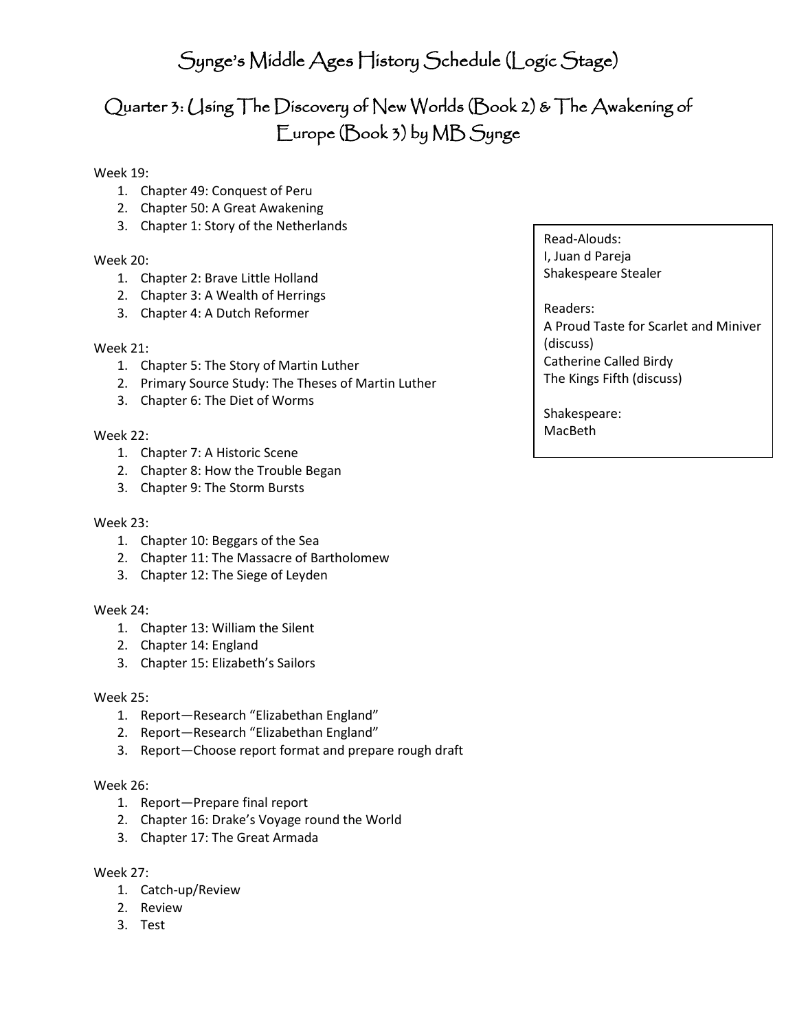## Quarter 3: Using The Discovery of New Worlds (Book 2) & The Awakening of Europe (Book 3) by MB Synge

## Week 19:

- 1. Chapter 49[: Conquest of Peru](http://www.mainlesson.com/display.php?author=synge&book=discovery&story=peru)
- 2. Chapter 50[: A Great Awakening](http://www.mainlesson.com/display.php?author=synge&book=discovery&story=awakening)
- 3. Chapter 1: Story of the Netherlands

### Week 20:

- 1. Chapter 2: Brave Little Holland
- 2. Chapter 3: A Wealth of Herrings
- 3. Chapter 4: A Dutch Reformer

### Week 21:

- 1. Chapter 5: The Story of Martin Luther
- 2. Primary Source Study: The Theses of Martin Luther
- 3. Chapter 6: The Diet of Worms

### Week 22:

- 1. Chapter 7: A Historic Scene
- 2. Chapter 8: How the Trouble Began
- 3. Chapter 9: The Storm Bursts

#### Week 23:

- 1. Chapter 10: Beggars of the Sea
- 2. Chapter 11: The Massacre of Bartholomew
- 3. Chapter 12: The Siege of Leyden

### Week 24:

- 1. Chapter 13: William the Silent
- 2. Chapter 14: England
- 3. Chapter 15: Elizabeth's Sailors

#### Week 25:

- 1. Report—Research "Elizabethan England"
- 2. Report—Research "Elizabethan England"
- 3. Report—Choose report format and prepare rough draft

#### Week 26:

- 1. Report—Prepare final report
- 2. Chapter 16: Drake's Voyage round the World
- 3. Chapter 17: The Great Armada

### Week 27:

- 1. Catch-up/Review
- 2. Review
- 3. Test

Read-Alouds: I, Juan d Pareja Shakespeare Stealer

Readers: A Proud Taste for Scarlet and Miniver (discuss) Catherine Called Birdy The Kings Fifth (discuss)

Shakespeare: MacBeth